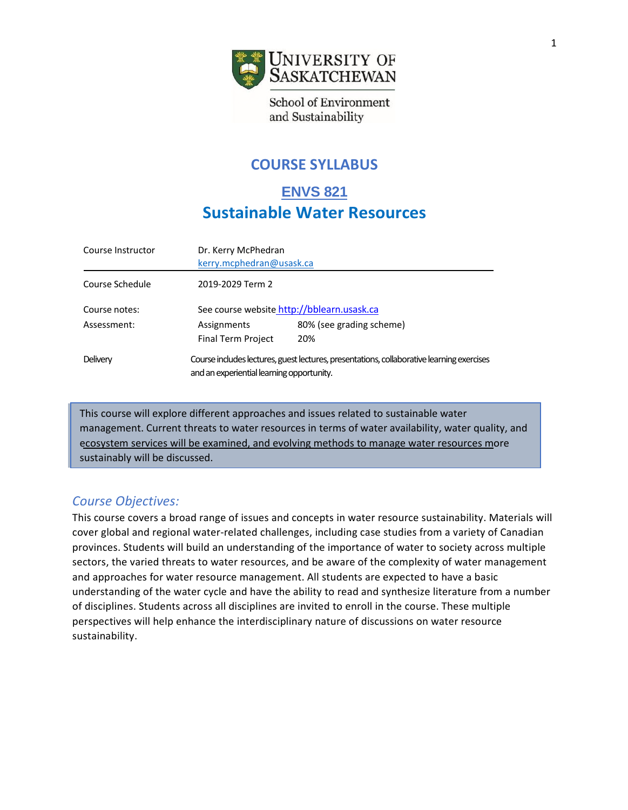

School of Environment and Sustainability

# **COURSE SYLLABUS**

# **ENVS 821 Sustainable Water Resources**

| Course Instructor | Dr. Kerry McPhedran<br>kerry.mcphedran@usask.ca                                                                                        |                          |
|-------------------|----------------------------------------------------------------------------------------------------------------------------------------|--------------------------|
| Course Schedule   | 2019-2029 Term 2                                                                                                                       |                          |
| Course notes:     | See course website http://bblearn.usask.ca                                                                                             |                          |
| Assessment:       | Assignments                                                                                                                            | 80% (see grading scheme) |
|                   | <b>Final Term Project</b>                                                                                                              | 20%                      |
| Delivery          | Course includes lectures, guest lectures, presentations, collaborative learning exercises<br>and an experiential learning opportunity. |                          |

This course will explore different approaches and issues related to sustainable water management. Current threats to water resources in terms of water availability, water quality, and ecosystem services will be examined, and evolving methods to manage water resources more sustainably will be discussed.

# *Course Objectives:*

This course covers a broad range of issues and concepts in water resource sustainability. Materials will cover global and regional water-related challenges, including case studies from a variety of Canadian provinces. Students will build an understanding of the importance of water to society across multiple sectors, the varied threats to water resources, and be aware of the complexity of water management and approaches for water resource management. All students are expected to have a basic understanding of the water cycle and have the ability to read and synthesize literature from a number of disciplines. Students across all disciplines are invited to enroll in the course. These multiple perspectives will help enhance the interdisciplinary nature of discussions on water resource sustainability.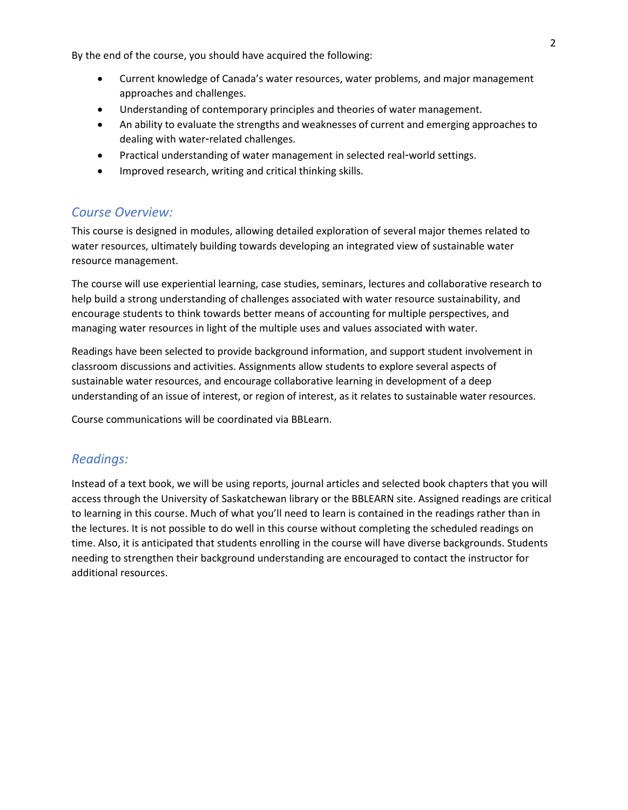By the end of the course, you should have acquired the following:

- Current knowledge of Canada's water resources, water problems, and major management approaches and challenges.
- Understanding of contemporary principles and theories of water management.
- An ability to evaluate the strengths and weaknesses of current and emerging approaches to dealing with water-related challenges.
- Practical understanding of water management in selected real-world settings.
- Improved research, writing and critical thinking skills.

## *Course Overview:*

This course is designed in modules, allowing detailed exploration of several major themes related to water resources, ultimately building towards developing an integrated view of sustainable water resource management.

The course will use experiential learning, case studies, seminars, lectures and collaborative research to help build a strong understanding of challenges associated with water resource sustainability, and encourage students to think towards better means of accounting for multiple perspectives, and managing water resources in light of the multiple uses and values associated with water.

Readings have been selected to provide background information, and support student involvement in classroom discussions and activities. Assignments allow students to explore several aspects of sustainable water resources, and encourage collaborative learning in development of a deep understanding of an issue of interest, or region of interest, as it relates to sustainable water resources.

Course communications will be coordinated via BBLearn.

## *Readings:*

Instead of a text book, we will be using reports, journal articles and selected book chapters that you will access through the University of Saskatchewan library or the BBLEARN site. Assigned readings are critical to learning in this course. Much of what you'll need to learn is contained in the readings rather than in the lectures. It is not possible to do well in this course without completing the scheduled readings on time. Also, it is anticipated that students enrolling in the course will have diverse backgrounds. Students needing to strengthen their background understanding are encouraged to contact the instructor for additional resources.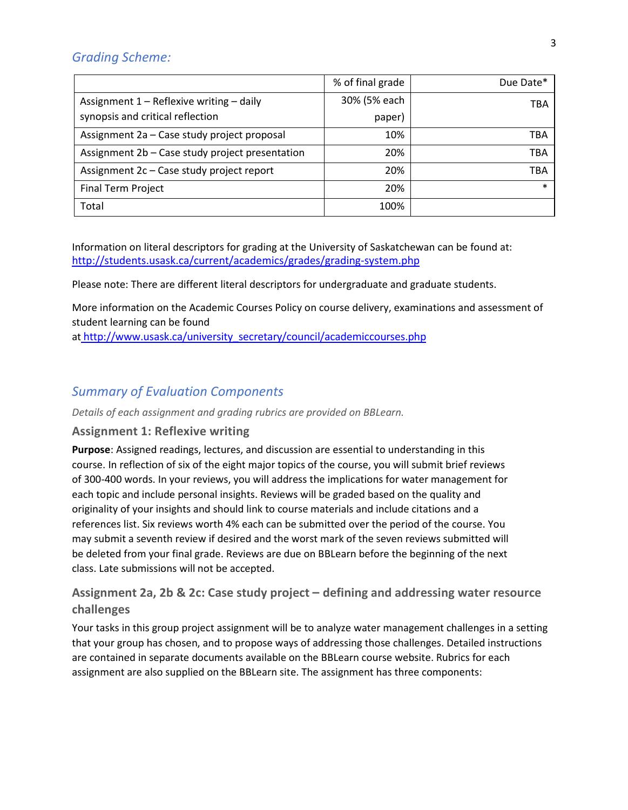## *Grading Scheme:*

|                                                 | % of final grade | Due Date*  |
|-------------------------------------------------|------------------|------------|
| Assignment 1 - Reflexive writing - daily        | 30% (5% each     | <b>TBA</b> |
| synopsis and critical reflection                | paper)           |            |
| Assignment 2a - Case study project proposal     | 10%              | TBA        |
| Assignment 2b - Case study project presentation | 20%              | TBA        |
| Assignment 2c - Case study project report       | 20%              | TBA        |
| <b>Final Term Project</b>                       | 20%              | $\ast$     |
| Total                                           | 100%             |            |

Information on literal descriptors for grading at the University of Saskatchewan can be found at: <http://students.usask.ca/current/academics/grades/grading-system.php>

Please note: There are different literal descriptors for undergraduate and graduate students.

More information on the Academic Courses Policy on course delivery, examinations and assessment of student learning can be found

at [http://www.usask.ca/university\\_secretary/council/academiccourses.php](http://www.usask.ca/university_secretary/council/academiccourses.php)

# *Summary of Evaluation Components*

*Details of each assignment and grading rubrics are provided on BBLearn.* 

### **Assignment 1: Reflexive writing**

**Purpose**: Assigned readings, lectures, and discussion are essential to understanding in this course. In reflection of six of the eight major topics of the course, you will submit brief reviews of 300-400 words. In your reviews, you will address the implications for water management for each topic and include personal insights. Reviews will be graded based on the quality and originality of your insights and should link to course materials and include citations and a references list. Six reviews worth 4% each can be submitted over the period of the course. You may submit a seventh review if desired and the worst mark of the seven reviews submitted will be deleted from your final grade. Reviews are due on BBLearn before the beginning of the next class. Late submissions will not be accepted.

**Assignment 2a, 2b & 2c: Case study project – defining and addressing water resource challenges** 

Your tasks in this group project assignment will be to analyze water management challenges in a setting that your group has chosen, and to propose ways of addressing those challenges. Detailed instructions are contained in separate documents available on the BBLearn course website. Rubrics for each assignment are also supplied on the BBLearn site. The assignment has three components: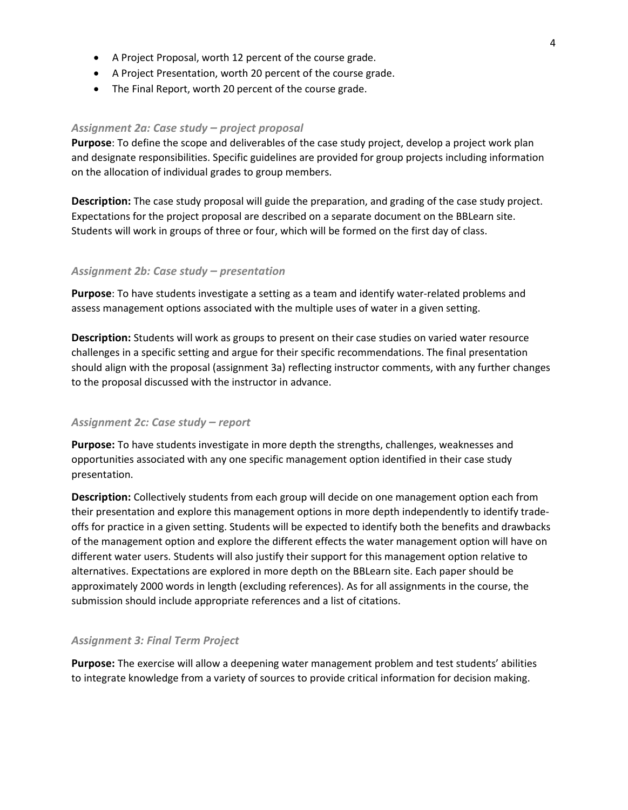- A Project Proposal, worth 12 percent of the course grade.
- A Project Presentation, worth 20 percent of the course grade.
- The Final Report, worth 20 percent of the course grade.

#### *Assignment 2a: Case study – project proposal*

**Purpose**: To define the scope and deliverables of the case study project, develop a project work plan and designate responsibilities. Specific guidelines are provided for group projects including information on the allocation of individual grades to group members.

**Description:** The case study proposal will guide the preparation, and grading of the case study project. Expectations for the project proposal are described on a separate document on the BBLearn site. Students will work in groups of three or four, which will be formed on the first day of class.

#### *Assignment 2b: Case study – presentation*

**Purpose**: To have students investigate a setting as a team and identify water-related problems and assess management options associated with the multiple uses of water in a given setting.

**Description:** Students will work as groups to present on their case studies on varied water resource challenges in a specific setting and argue for their specific recommendations. The final presentation should align with the proposal (assignment 3a) reflecting instructor comments, with any further changes to the proposal discussed with the instructor in advance.

#### *Assignment 2c: Case study – report*

**Purpose:** To have students investigate in more depth the strengths, challenges, weaknesses and opportunities associated with any one specific management option identified in their case study presentation.

**Description:** Collectively students from each group will decide on one management option each from their presentation and explore this management options in more depth independently to identify tradeoffs for practice in a given setting. Students will be expected to identify both the benefits and drawbacks of the management option and explore the different effects the water management option will have on different water users. Students will also justify their support for this management option relative to alternatives. Expectations are explored in more depth on the BBLearn site. Each paper should be approximately 2000 words in length (excluding references). As for all assignments in the course, the submission should include appropriate references and a list of citations.

#### *Assignment 3: Final Term Project*

**Purpose:** The exercise will allow a deepening water management problem and test students' abilities to integrate knowledge from a variety of sources to provide critical information for decision making.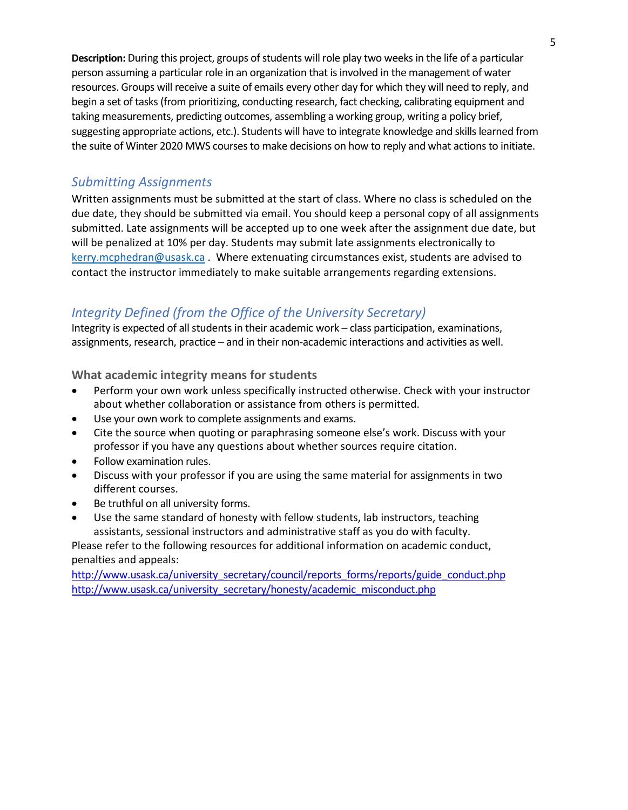**Description:** During this project, groups of students will role play two weeks in the life of a particular person assuming a particular role in an organization that is involved in the management of water resources. Groups will receive a suite of emails every other day for which they will need to reply, and begin a set of tasks (from prioritizing, conducting research, fact checking, calibrating equipment and taking measurements, predicting outcomes, assembling a working group, writing a policy brief, suggesting appropriate actions, etc.). Students will have to integrate knowledge and skills learned from the suite of Winter 2020 MWS courses to make decisions on how to reply and what actions to initiate.

# *Submitting Assignments*

Written assignments must be submitted at the start of class. Where no class is scheduled on the due date, they should be submitted via email. You should keep a personal copy of all assignments submitted. Late assignments will be accepted up to one week after the assignment due date, but will be penalized at 10% per day. Students may submit late assignments electronically to [kerry.mcphedran@usask.ca](mailto:kerry.mcphedran@usask.ca) . Where extenuating circumstances exist, students are advised to contact the instructor immediately to make suitable arrangements regarding extensions.

# *Integrity Defined (from the Office of the University Secretary)*

Integrity is expected of all students in their academic work – class participation, examinations, assignments, research, practice – and in their non-academic interactions and activities as well.

**What academic integrity means for students** 

- Perform your own work unless specifically instructed otherwise. Check with your instructor about whether collaboration or assistance from others is permitted.
- Use your own work to complete assignments and exams.
- Cite the source when quoting or paraphrasing someone else's work. Discuss with your professor if you have any questions about whether sources require citation.
- Follow examination rules.
- Discuss with your professor if you are using the same material for assignments in two different courses.
- Be truthful on all university forms.
- Use the same standard of honesty with fellow students, lab instructors, teaching assistants, sessional instructors and administrative staff as you do with faculty.

Please refer to the following resources for additional information on academic conduct, penalties and appeals:

http://www.usask.ca/university\_secretary/council/reports\_forms/reports/guide\_conduct.php http://www.usask.ca/university\_secretary/honesty/academic\_misconduct.php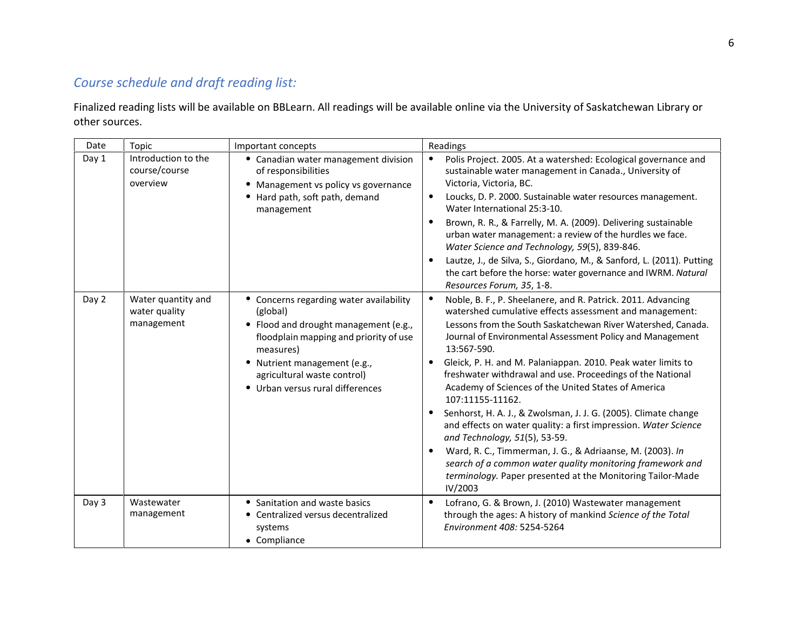# *Course schedule and draft reading list:*

Finalized reading lists will be available on BBLearn. All readings will be available online via the University of Saskatchewan Library or other sources.

| Date  | Topic                                             | Important concepts                                                                                                                                                                                                                                     | Readings                                                                                                                                                                                                                                                                                                                                                                                                                                                                                                                                                                                                                                                                                                                                                                                                                                               |  |
|-------|---------------------------------------------------|--------------------------------------------------------------------------------------------------------------------------------------------------------------------------------------------------------------------------------------------------------|--------------------------------------------------------------------------------------------------------------------------------------------------------------------------------------------------------------------------------------------------------------------------------------------------------------------------------------------------------------------------------------------------------------------------------------------------------------------------------------------------------------------------------------------------------------------------------------------------------------------------------------------------------------------------------------------------------------------------------------------------------------------------------------------------------------------------------------------------------|--|
| Day 1 | Introduction to the<br>course/course<br>overview  | • Canadian water management division<br>of responsibilities<br>• Management vs policy vs governance<br>• Hard path, soft path, demand<br>management                                                                                                    | Polis Project. 2005. At a watershed: Ecological governance and<br>$\bullet$<br>sustainable water management in Canada., University of<br>Victoria, Victoria, BC.<br>Loucks, D. P. 2000. Sustainable water resources management.<br>$\bullet$<br>Water International 25:3-10.<br>Brown, R. R., & Farrelly, M. A. (2009). Delivering sustainable<br>urban water management: a review of the hurdles we face.<br>Water Science and Technology, 59(5), 839-846.<br>Lautze, J., de Silva, S., Giordano, M., & Sanford, L. (2011). Putting<br>the cart before the horse: water governance and IWRM. Natural<br>Resources Forum, 35, 1-8.                                                                                                                                                                                                                     |  |
| Day 2 | Water quantity and<br>water quality<br>management | • Concerns regarding water availability<br>(global)<br>• Flood and drought management (e.g.,<br>floodplain mapping and priority of use<br>measures)<br>• Nutrient management (e.g.,<br>agricultural waste control)<br>• Urban versus rural differences | Noble, B. F., P. Sheelanere, and R. Patrick. 2011. Advancing<br>watershed cumulative effects assessment and management:<br>Lessons from the South Saskatchewan River Watershed, Canada.<br>Journal of Environmental Assessment Policy and Management<br>13:567-590.<br>Gleick, P. H. and M. Palaniappan. 2010. Peak water limits to<br>freshwater withdrawal and use. Proceedings of the National<br>Academy of Sciences of the United States of America<br>107:11155-11162.<br>Senhorst, H. A. J., & Zwolsman, J. J. G. (2005). Climate change<br>and effects on water quality: a first impression. Water Science<br>and Technology, 51(5), 53-59.<br>Ward, R. C., Timmerman, J. G., & Adriaanse, M. (2003). In<br>search of a common water quality monitoring framework and<br>terminology. Paper presented at the Monitoring Tailor-Made<br>IV/2003 |  |
| Day 3 | Wastewater<br>management                          | • Sanitation and waste basics<br>• Centralized versus decentralized<br>systems<br>• Compliance                                                                                                                                                         | Lofrano, G. & Brown, J. (2010) Wastewater management<br>$\bullet$<br>through the ages: A history of mankind Science of the Total<br>Environment 408: 5254-5264                                                                                                                                                                                                                                                                                                                                                                                                                                                                                                                                                                                                                                                                                         |  |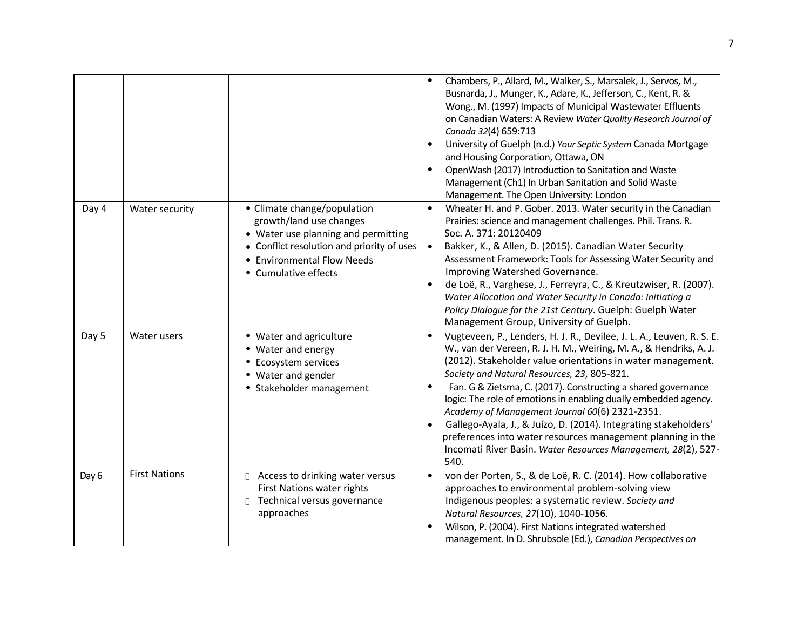|       |                      |                                                                                                                                                                                                   | Chambers, P., Allard, M., Walker, S., Marsalek, J., Servos, M.,<br>Busnarda, J., Munger, K., Adare, K., Jefferson, C., Kent, R. &<br>Wong., M. (1997) Impacts of Municipal Wastewater Effluents<br>on Canadian Waters: A Review Water Quality Research Journal of<br>Canada 32(4) 659:713<br>University of Guelph (n.d.) Your Septic System Canada Mortgage<br>and Housing Corporation, Ottawa, ON<br>OpenWash (2017) Introduction to Sanitation and Waste<br>Management (Ch1) In Urban Sanitation and Solid Waste<br>Management. The Open University: London                                                                                               |
|-------|----------------------|---------------------------------------------------------------------------------------------------------------------------------------------------------------------------------------------------|-------------------------------------------------------------------------------------------------------------------------------------------------------------------------------------------------------------------------------------------------------------------------------------------------------------------------------------------------------------------------------------------------------------------------------------------------------------------------------------------------------------------------------------------------------------------------------------------------------------------------------------------------------------|
| Day 4 | Water security       | • Climate change/population<br>growth/land use changes<br>• Water use planning and permitting<br>• Conflict resolution and priority of uses<br>• Environmental Flow Needs<br>• Cumulative effects | Wheater H. and P. Gober. 2013. Water security in the Canadian<br>Prairies: science and management challenges. Phil. Trans. R.<br>Soc. A. 371: 20120409<br>Bakker, K., & Allen, D. (2015). Canadian Water Security<br>Assessment Framework: Tools for Assessing Water Security and<br>Improving Watershed Governance.<br>de Loë, R., Varghese, J., Ferreyra, C., & Kreutzwiser, R. (2007).<br>Water Allocation and Water Security in Canada: Initiating a<br>Policy Dialogue for the 21st Century. Guelph: Guelph Water<br>Management Group, University of Guelph.                                                                                           |
| Day 5 | Water users          | • Water and agriculture<br>• Water and energy<br>• Ecosystem services<br>• Water and gender<br>• Stakeholder management                                                                           | Vugteveen, P., Lenders, H. J. R., Devilee, J. L. A., Leuven, R. S. E.<br>W., van der Vereen, R. J. H. M., Weiring, M. A., & Hendriks, A. J.<br>(2012). Stakeholder value orientations in water management.<br>Society and Natural Resources, 23, 805-821.<br>Fan. G & Zietsma, C. (2017). Constructing a shared governance<br>logic: The role of emotions in enabling dually embedded agency.<br>Academy of Management Journal 60(6) 2321-2351.<br>Gallego-Ayala, J., & Juízo, D. (2014). Integrating stakeholders'<br>preferences into water resources management planning in the<br>Incomati River Basin. Water Resources Management, 28(2), 527-<br>540. |
| Day 6 | <b>First Nations</b> | □ Access to drinking water versus<br>First Nations water rights<br>Technical versus governance<br>П.<br>approaches                                                                                | von der Porten, S., & de Loë, R. C. (2014). How collaborative<br>approaches to environmental problem-solving view<br>Indigenous peoples: a systematic review. Society and<br>Natural Resources, 27(10), 1040-1056.<br>Wilson, P. (2004). First Nations integrated watershed<br>management. In D. Shrubsole (Ed.), Canadian Perspectives on                                                                                                                                                                                                                                                                                                                  |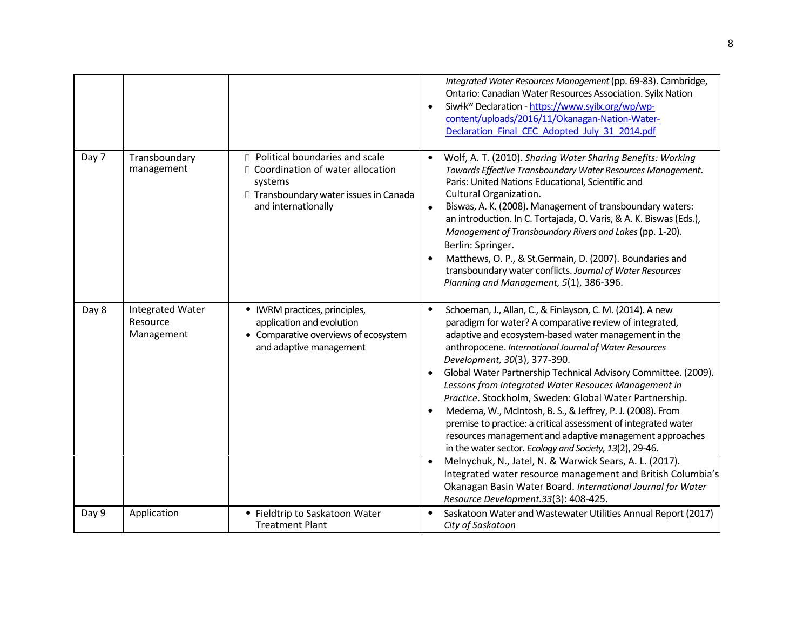|       |                                                   |                                                                                                                                                    | Integrated Water Resources Management (pp. 69-83). Cambridge,<br>Ontario: Canadian Water Resources Association. Syilx Nation<br>Siwłk <sup>w</sup> Declaration - https://www.syilx.org/wp/wp-<br>content/uploads/2016/11/Okanagan-Nation-Water-<br>Declaration Final CEC Adopted July 31 2014.pdf                                                                                                                                                                                                                                                                                                                                                                                                                                                                                                                                                                                                                                                              |
|-------|---------------------------------------------------|----------------------------------------------------------------------------------------------------------------------------------------------------|----------------------------------------------------------------------------------------------------------------------------------------------------------------------------------------------------------------------------------------------------------------------------------------------------------------------------------------------------------------------------------------------------------------------------------------------------------------------------------------------------------------------------------------------------------------------------------------------------------------------------------------------------------------------------------------------------------------------------------------------------------------------------------------------------------------------------------------------------------------------------------------------------------------------------------------------------------------|
| Day 7 | Transboundary<br>management                       | □ Political boundaries and scale<br>□ Coordination of water allocation<br>systems<br>□ Transboundary water issues in Canada<br>and internationally | Wolf, A. T. (2010). Sharing Water Sharing Benefits: Working<br>Towards Effective Transboundary Water Resources Management.<br>Paris: United Nations Educational, Scientific and<br>Cultural Organization.<br>Biswas, A. K. (2008). Management of transboundary waters:<br>an introduction. In C. Tortajada, O. Varis, & A. K. Biswas (Eds.),<br>Management of Transboundary Rivers and Lakes (pp. 1-20).<br>Berlin: Springer.<br>Matthews, O. P., & St.Germain, D. (2007). Boundaries and<br>transboundary water conflicts. Journal of Water Resources<br>Planning and Management, 5(1), 386-396.                                                                                                                                                                                                                                                                                                                                                              |
| Day 8 | <b>Integrated Water</b><br>Resource<br>Management | • IWRM practices, principles,<br>application and evolution<br>• Comparative overviews of ecosystem<br>and adaptive management                      | Schoeman, J., Allan, C., & Finlayson, C. M. (2014). A new<br>$\bullet$<br>paradigm for water? A comparative review of integrated,<br>adaptive and ecosystem-based water management in the<br>anthropocene. International Journal of Water Resources<br>Development, 30(3), 377-390.<br>Global Water Partnership Technical Advisory Committee. (2009).<br>Lessons from Integrated Water Resouces Management in<br>Practice. Stockholm, Sweden: Global Water Partnership.<br>Medema, W., McIntosh, B. S., & Jeffrey, P. J. (2008). From<br>premise to practice: a critical assessment of integrated water<br>resources management and adaptive management approaches<br>in the water sector. Ecology and Society, 13(2), 29-46.<br>Melnychuk, N., Jatel, N. & Warwick Sears, A. L. (2017).<br>Integrated water resource management and British Columbia's<br>Okanagan Basin Water Board. International Journal for Water<br>Resource Development.33(3): 408-425. |
| Day 9 | Application                                       | • Fieldtrip to Saskatoon Water<br><b>Treatment Plant</b>                                                                                           | Saskatoon Water and Wastewater Utilities Annual Report (2017)<br>City of Saskatoon                                                                                                                                                                                                                                                                                                                                                                                                                                                                                                                                                                                                                                                                                                                                                                                                                                                                             |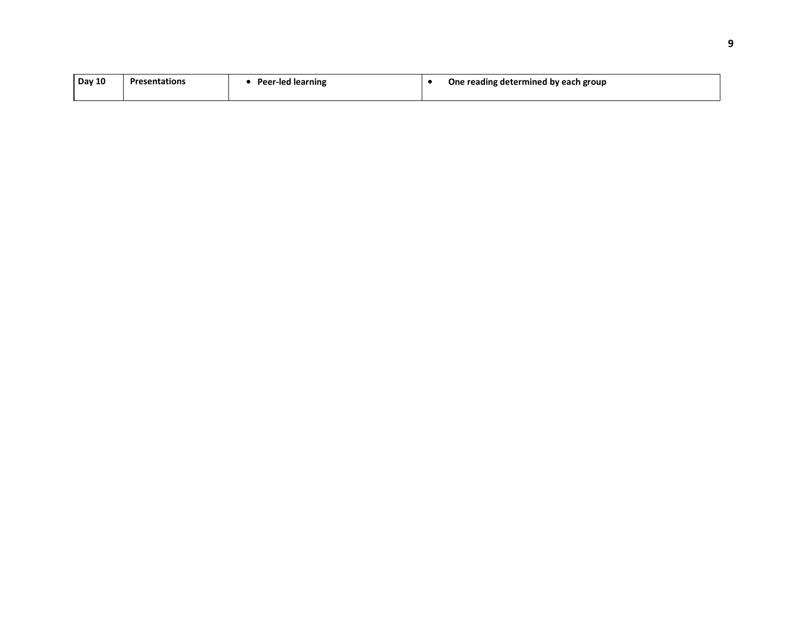| $D$ av 10 | <b>Presentations</b> | <b>Peer-led learning</b> | One reading determined by each group |
|-----------|----------------------|--------------------------|--------------------------------------|
|           |                      |                          |                                      |